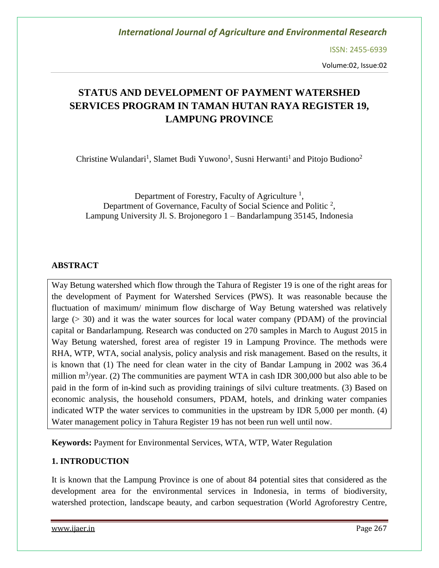ISSN: 2455-6939

Volume:02, Issue:02

# **STATUS AND DEVELOPMENT OF PAYMENT WATERSHED SERVICES PROGRAM IN TAMAN HUTAN RAYA REGISTER 19, LAMPUNG PROVINCE**

Christine Wulandari<sup>1</sup>, Slamet Budi Yuwono<sup>1</sup>, Susni Herwanti<sup>1</sup> and Pitojo Budiono<sup>2</sup>

Department of Forestry, Faculty of Agriculture<sup>1</sup>, Department of Governance, Faculty of Social Science and Politic<sup>2</sup>, Lampung University Jl. S. Brojonegoro 1 – Bandarlampung 35145, Indonesia

### **ABSTRACT**

Way Betung watershed which flow through the Tahura of Register 19 is one of the right areas for the development of Payment for Watershed Services (PWS). It was reasonable because the fluctuation of maximum/ minimum flow discharge of Way Betung watershed was relatively large (> 30) and it was the water sources for local water company (PDAM) of the provincial capital or Bandarlampung. Research was conducted on 270 samples in March to August 2015 in Way Betung watershed, forest area of register 19 in Lampung Province. The methods were RHA, WTP, WTA, social analysis, policy analysis and risk management. Based on the results, it is known that (1) The need for clean water in the city of Bandar Lampung in 2002 was 36.4 million  $m^3$ /year. (2) The communities are payment WTA in cash IDR 300,000 but also able to be paid in the form of in-kind such as providing trainings of silvi culture treatments. (3) Based on economic analysis, the household consumers, PDAM, hotels, and drinking water companies indicated WTP the water services to communities in the upstream by IDR 5,000 per month. (4) Water management policy in Tahura Register 19 has not been run well until now.

**Keywords:** Payment for Environmental Services, WTA, WTP, Water Regulation

### **1. INTRODUCTION**

It is known that the Lampung Province is one of about 84 potential sites that considered as the development area for the environmental services in Indonesia, in terms of biodiversity, watershed protection, landscape beauty, and carbon sequestration (World Agroforestry Centre,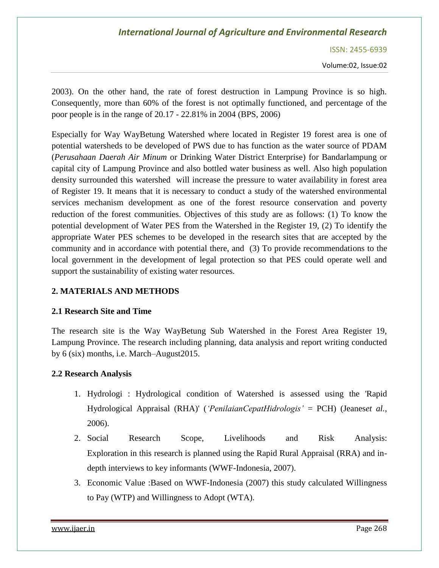ISSN: 2455-6939

Volume:02, Issue:02

2003). On the other hand, the rate of forest destruction in Lampung Province is so high. Consequently, more than 60% of the forest is not optimally functioned, and percentage of the poor people is in the range of 20.17 - 22.81% in 2004 (BPS, 2006)

Especially for Way WayBetung Watershed where located in Register 19 forest area is one of potential watersheds to be developed of PWS due to has function as the water source of PDAM (*Perusahaan Daerah Air Minum* or Drinking Water District Enterprise) for Bandarlampung or capital city of Lampung Province and also bottled water business as well. Also high population density surrounded this watershed will increase the pressure to water availability in forest area of Register 19. It means that it is necessary to conduct a study of the watershed environmental services mechanism development as one of the forest resource conservation and poverty reduction of the forest communities. Objectives of this study are as follows: (1) To know the potential development of Water PES from the Watershed in the Register 19, (2) To identify the appropriate Water PES schemes to be developed in the research sites that are accepted by the community and in accordance with potential there, and (3) To provide recommendations to the local government in the development of legal protection so that PES could operate well and support the sustainability of existing water resources.

### **2. MATERIALS AND METHODS**

#### **2.1 Research Site and Time**

The research site is the Way WayBetung Sub Watershed in the Forest Area Register 19, Lampung Province. The research including planning, data analysis and report writing conducted by 6 (six) months, i.e. March–August2015.

#### **2.2 Research Analysis**

- 1. Hydrologi : Hydrological condition of Watershed is assessed using the 'Rapid Hydrological Appraisal (RHA)' (*'PenilaianCepatHidrologis'* = PCH) (Jeanes*et al.*, 2006).
- 2. Social Research Scope, Livelihoods and Risk Analysis: Exploration in this research is planned using the Rapid Rural Appraisal (RRA) and indepth interviews to key informants (WWF-Indonesia, 2007).
- 3. Economic Value :Based on WWF-Indonesia (2007) this study calculated Willingness to Pay (WTP) and Willingness to Adopt (WTA).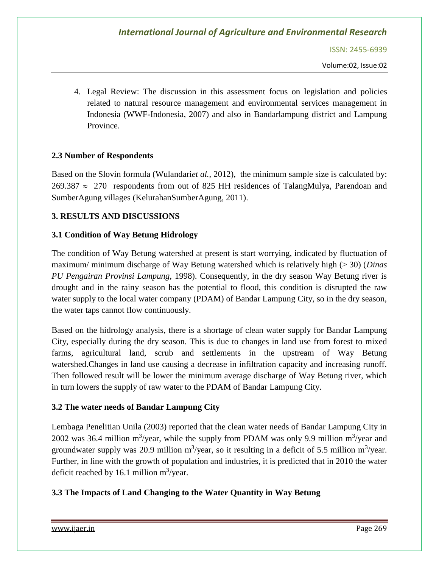ISSN: 2455-6939

Volume:02, Issue:02

4. Legal Review: The discussion in this assessment focus on legislation and policies related to natural resource management and environmental services management in Indonesia (WWF-Indonesia, 2007) and also in Bandarlampung district and Lampung Province.

### **2.3 Number of Respondents**

Based on the Slovin formula (Wulandari*et al.*, 2012), the minimum sample size is calculated by:  $269.387 \approx 270$  respondents from out of 825 HH residences of TalangMulya, Parendoan and SumberAgung villages (KelurahanSumberAgung, 2011).

#### **3. RESULTS AND DISCUSSIONS**

#### **3.1 Condition of Way Betung Hidrology**

The condition of Way Betung watershed at present is start worrying, indicated by fluctuation of maximum/ minimum discharge of Way Betung watershed which is relatively high (> 30) (*Dinas PU Pengairan Provinsi Lampung,* 1998). Consequently, in the dry season Way Betung river is drought and in the rainy season has the potential to flood, this condition is disrupted the raw water supply to the local water company (PDAM) of Bandar Lampung City, so in the dry season, the water taps cannot flow continuously.

Based on the hidrology analysis, there is a shortage of clean water supply for Bandar Lampung City, especially during the dry season. This is due to changes in land use from forest to mixed farms, agricultural land, scrub and settlements in the upstream of Way Betung watershed.Changes in land use causing a decrease in infiltration capacity and increasing runoff. Then followed result will be lower the minimum average discharge of Way Betung river, which in turn lowers the supply of raw water to the PDAM of Bandar Lampung City.

#### **3.2 The water needs of Bandar Lampung City**

Lembaga Penelitian Unila (2003) reported that the clean water needs of Bandar Lampung City in 2002 was 36.4 million m<sup>3</sup>/year, while the supply from PDAM was only 9.9 million m<sup>3</sup>/year and groundwater supply was 20.9 million  $m^3$ /year, so it resulting in a deficit of 5.5 million  $m^3$ /year. Further, in line with the growth of population and industries, it is predicted that in 2010 the water deficit reached by 16.1 million  $m^3$ /year.

#### **3.3 The Impacts of Land Changing to the Water Quantity in Way Betung**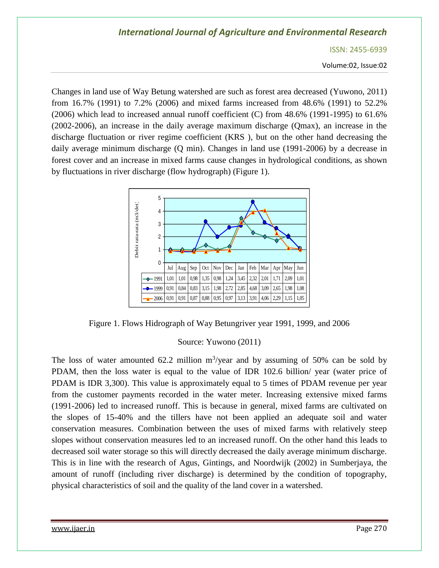ISSN: 2455-6939

Volume:02, Issue:02

Changes in land use of Way Betung watershed are such as forest area decreased (Yuwono, 2011) from 16.7% (1991) to 7.2% (2006) and mixed farms increased from 48.6% (1991) to 52.2% (2006) which lead to increased annual runoff coefficient (C) from 48.6% (1991-1995) to 61.6% (2002-2006), an increase in the daily average maximum discharge (Qmax), an increase in the discharge fluctuation or river regime coefficient (KRS ), but on the other hand decreasing the daily average minimum discharge (Q min). Changes in land use (1991-2006) by a decrease in forest cover and an increase in mixed farms cause changes in hydrological conditions, as shown by fluctuations in river discharge (flow hydrograph) (Figure 1).



Figure 1. Flows Hidrograph of Way Betungriver year 1991, 1999, and 2006

#### Source: Yuwono (2011)

The loss of water amounted 62.2 million  $m^3$ /year and by assuming of 50% can be sold by PDAM, then the loss water is equal to the value of IDR 102.6 billion/ year (water price of PDAM is IDR 3,300). This value is approximately equal to 5 times of PDAM revenue per year from the customer payments recorded in the water meter. Increasing extensive mixed farms (1991-2006) led to increased runoff. This is because in general, mixed farms are cultivated on the slopes of 15-40% and the tillers have not been applied an adequate soil and water conservation measures. Combination between the uses of mixed farms with relatively steep slopes without conservation measures led to an increased runoff. On the other hand this leads to decreased soil water storage so this will directly decreased the daily average minimum discharge. This is in line with the research of Agus, Gintings, and Noordwijk (2002) in Sumberjaya, the amount of runoff (including river discharge) is determined by the condition of topography, physical characteristics of soil and the quality of the land cover in a watershed.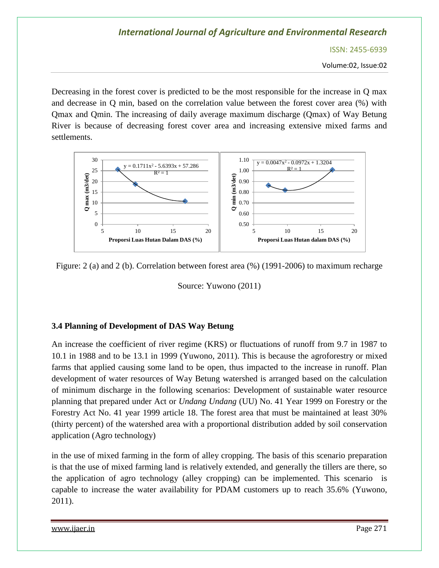ISSN: 2455-6939

Volume:02, Issue:02

Decreasing in the forest cover is predicted to be the most responsible for the increase in Q max and decrease in Q min, based on the correlation value between the forest cover area (%) with Qmax and Qmin. The increasing of daily average maximum discharge (Qmax) of Way Betung River is because of decreasing forest cover area and increasing extensive mixed farms and settlements.



Figure: 2 (a) and 2 (b). Correlation between forest area (%) (1991-2006) to maximum recharge

Source: Yuwono (2011)

#### **3.4 Planning of Development of DAS Way Betung**

An increase the coefficient of river regime (KRS) or fluctuations of runoff from 9.7 in 1987 to 10.1 in 1988 and to be 13.1 in 1999 (Yuwono, 2011). This is because the agroforestry or mixed farms that applied causing some land to be open, thus impacted to the increase in runoff. Plan development of water resources of Way Betung watershed is arranged based on the calculation of minimum discharge in the following scenarios: Development of sustainable water resource planning that prepared under Act or *Undang Undang* (UU) No. 41 Year 1999 on Forestry or the Forestry Act No. 41 year 1999 article 18. The forest area that must be maintained at least 30% (thirty percent) of the watershed area with a proportional distribution added by soil conservation application (Agro technology)

in the use of mixed farming in the form of alley cropping. The basis of this scenario preparation is that the use of mixed farming land is relatively extended, and generally the tillers are there, so the application of agro technology (alley cropping) can be implemented. This scenario is capable to increase the water availability for PDAM customers up to reach 35.6% (Yuwono, 2011).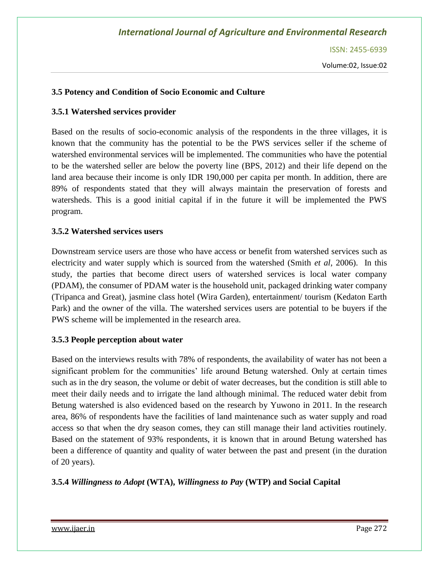ISSN: 2455-6939

### **3.5 Potency and Condition of Socio Economic and Culture**

#### **3.5.1 Watershed services provider**

Based on the results of socio-economic analysis of the respondents in the three villages, it is known that the community has the potential to be the PWS services seller if the scheme of watershed environmental services will be implemented. The communities who have the potential to be the watershed seller are below the poverty line (BPS, 2012) and their life depend on the land area because their income is only IDR 190,000 per capita per month. In addition, there are 89% of respondents stated that they will always maintain the preservation of forests and watersheds. This is a good initial capital if in the future it will be implemented the PWS program.

#### **3.5.2 Watershed services users**

Downstream service users are those who have access or benefit from watershed services such as electricity and water supply which is sourced from the watershed (Smith *et al*, 2006). In this study, the parties that become direct users of watershed services is local water company (PDAM), the consumer of PDAM water is the household unit, packaged drinking water company (Tripanca and Great), jasmine class hotel (Wira Garden), entertainment/ tourism (Kedaton Earth Park) and the owner of the villa. The watershed services users are potential to be buyers if the PWS scheme will be implemented in the research area.

#### **3.5.3 People perception about water**

Based on the interviews results with 78% of respondents, the availability of water has not been a significant problem for the communities' life around Betung watershed. Only at certain times such as in the dry season, the volume or debit of water decreases, but the condition is still able to meet their daily needs and to irrigate the land although minimal. The reduced water debit from Betung watershed is also evidenced based on the research by Yuwono in 2011. In the research area, 86% of respondents have the facilities of land maintenance such as water supply and road access so that when the dry season comes, they can still manage their land activities routinely. Based on the statement of 93% respondents, it is known that in around Betung watershed has been a difference of quantity and quality of water between the past and present (in the duration of 20 years).

#### **3.5.4** *Willingness to Adopt* **(WTA),** *Willingness to Pay* **(WTP) and Social Capital**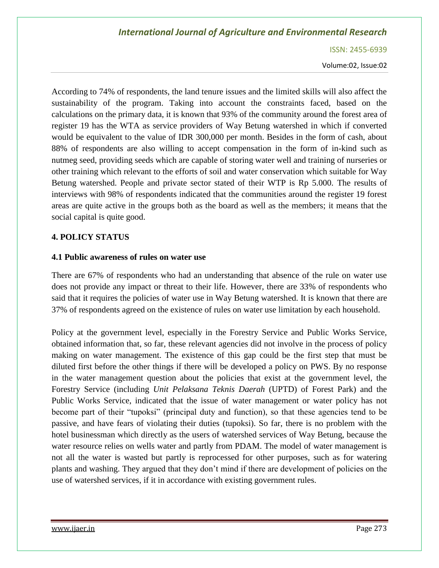ISSN: 2455-6939

Volume:02, Issue:02

According to 74% of respondents, the land tenure issues and the limited skills will also affect the sustainability of the program. Taking into account the constraints faced, based on the calculations on the primary data, it is known that 93% of the community around the forest area of register 19 has the WTA as service providers of Way Betung watershed in which if converted would be equivalent to the value of IDR 300,000 per month. Besides in the form of cash, about 88% of respondents are also willing to accept compensation in the form of in-kind such as nutmeg seed, providing seeds which are capable of storing water well and training of nurseries or other training which relevant to the efforts of soil and water conservation which suitable for Way Betung watershed. People and private sector stated of their WTP is Rp 5.000. The results of interviews with 98% of respondents indicated that the communities around the register 19 forest areas are quite active in the groups both as the board as well as the members; it means that the social capital is quite good.

#### **4. POLICY STATUS**

#### **4.1 Public awareness of rules on water use**

There are 67% of respondents who had an understanding that absence of the rule on water use does not provide any impact or threat to their life. However, there are 33% of respondents who said that it requires the policies of water use in Way Betung watershed. It is known that there are 37% of respondents agreed on the existence of rules on water use limitation by each household.

Policy at the government level, especially in the Forestry Service and Public Works Service, obtained information that, so far, these relevant agencies did not involve in the process of policy making on water management. The existence of this gap could be the first step that must be diluted first before the other things if there will be developed a policy on PWS. By no response in the water management question about the policies that exist at the government level, the Forestry Service (including *Unit Pelaksana Teknis Daerah* (UPTD) of Forest Park) and the Public Works Service, indicated that the issue of water management or water policy has not become part of their "tupoksi" (principal duty and function), so that these agencies tend to be passive, and have fears of violating their duties (tupoksi). So far, there is no problem with the hotel businessman which directly as the users of watershed services of Way Betung, because the water resource relies on wells water and partly from PDAM. The model of water management is not all the water is wasted but partly is reprocessed for other purposes, such as for watering plants and washing. They argued that they don't mind if there are development of policies on the use of watershed services, if it in accordance with existing government rules.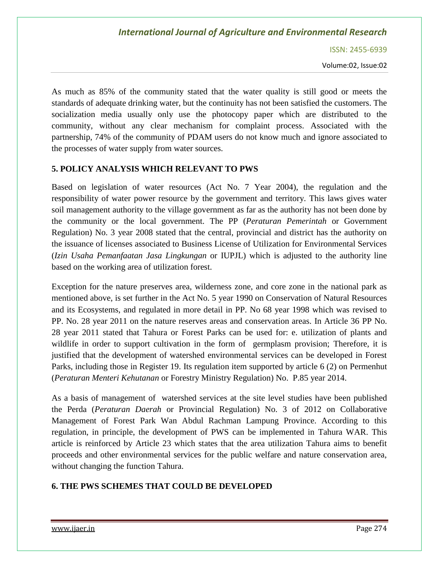ISSN: 2455-6939

Volume:02, Issue:02

As much as 85% of the community stated that the water quality is still good or meets the standards of adequate drinking water, but the continuity has not been satisfied the customers. The socialization media usually only use the photocopy paper which are distributed to the community, without any clear mechanism for complaint process. Associated with the partnership, 74% of the community of PDAM users do not know much and ignore associated to the processes of water supply from water sources.

#### **5. POLICY ANALYSIS WHICH RELEVANT TO PWS**

Based on legislation of water resources (Act No. 7 Year 2004), the regulation and the responsibility of water power resource by the government and territory. This laws gives water soil management authority to the village government as far as the authority has not been done by the community or the local government. The PP (*Peraturan Pemerintah* or Government Regulation) No. 3 year 2008 stated that the central, provincial and district has the authority on the issuance of licenses associated to Business License of Utilization for Environmental Services (*Izin Usaha Pemanfaatan Jasa Lingkungan* or IUPJL) which is adjusted to the authority line based on the working area of utilization forest.

Exception for the nature preserves area, wilderness zone, and core zone in the national park as mentioned above, is set further in the Act No. 5 year 1990 on Conservation of Natural Resources and its Ecosystems, and regulated in more detail in PP. No 68 year 1998 which was revised to PP. No. 28 year 2011 on the nature reserves areas and conservation areas. In Article 36 PP No. 28 year 2011 stated that Tahura or Forest Parks can be used for: e. utilization of plants and wildlife in order to support cultivation in the form of germplasm provision; Therefore, it is justified that the development of watershed environmental services can be developed in Forest Parks, including those in Register 19. Its regulation item supported by article 6 (2) on Permenhut (*Peraturan Menteri Kehutanan* or Forestry Ministry Regulation) No. P.85 year 2014.

As a basis of management of watershed services at the site level studies have been published the Perda (*Peraturan Daerah* or Provincial Regulation) No. 3 of 2012 on Collaborative Management of Forest Park Wan Abdul Rachman Lampung Province. According to this regulation, in principle, the development of PWS can be implemented in Tahura WAR. This article is reinforced by Article 23 which states that the area utilization Tahura aims to benefit proceeds and other environmental services for the public welfare and nature conservation area, without changing the function Tahura.

#### **6. THE PWS SCHEMES THAT COULD BE DEVELOPED**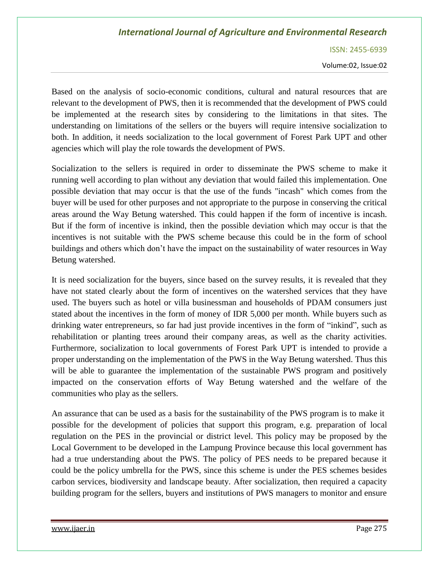ISSN: 2455-6939

Volume:02, Issue:02

Based on the analysis of socio-economic conditions, cultural and natural resources that are relevant to the development of PWS, then it is recommended that the development of PWS could be implemented at the research sites by considering to the limitations in that sites. The understanding on limitations of the sellers or the buyers will require intensive socialization to both. In addition, it needs socialization to the local government of Forest Park UPT and other agencies which will play the role towards the development of PWS.

Socialization to the sellers is required in order to disseminate the PWS scheme to make it running well according to plan without any deviation that would failed this implementation. One possible deviation that may occur is that the use of the funds "incash" which comes from the buyer will be used for other purposes and not appropriate to the purpose in conserving the critical areas around the Way Betung watershed. This could happen if the form of incentive is incash. But if the form of incentive is inkind, then the possible deviation which may occur is that the incentives is not suitable with the PWS scheme because this could be in the form of school buildings and others which don't have the impact on the sustainability of water resources in Way Betung watershed.

It is need socialization for the buyers, since based on the survey results, it is revealed that they have not stated clearly about the form of incentives on the watershed services that they have used. The buyers such as hotel or villa businessman and households of PDAM consumers just stated about the incentives in the form of money of IDR 5,000 per month. While buyers such as drinking water entrepreneurs, so far had just provide incentives in the form of "inkind", such as rehabilitation or planting trees around their company areas, as well as the charity activities. Furthermore, socialization to local governments of Forest Park UPT is intended to provide a proper understanding on the implementation of the PWS in the Way Betung watershed. Thus this will be able to guarantee the implementation of the sustainable PWS program and positively impacted on the conservation efforts of Way Betung watershed and the welfare of the communities who play as the sellers.

An assurance that can be used as a basis for the sustainability of the PWS program is to make it possible for the development of policies that support this program, e.g. preparation of local regulation on the PES in the provincial or district level. This policy may be proposed by the Local Government to be developed in the Lampung Province because this local government has had a true understanding about the PWS. The policy of PES needs to be prepared because it could be the policy umbrella for the PWS, since this scheme is under the PES schemes besides carbon services, biodiversity and landscape beauty. After socialization, then required a capacity building program for the sellers, buyers and institutions of PWS managers to monitor and ensure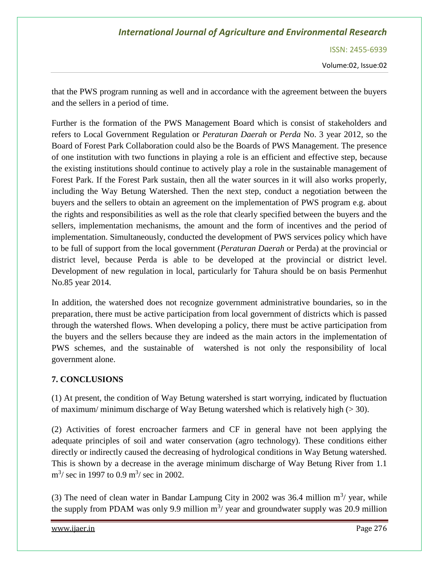ISSN: 2455-6939

Volume:02, Issue:02

that the PWS program running as well and in accordance with the agreement between the buyers and the sellers in a period of time.

Further is the formation of the PWS Management Board which is consist of stakeholders and refers to Local Government Regulation or *Peraturan Daerah* or *Perda* No. 3 year 2012, so the Board of Forest Park Collaboration could also be the Boards of PWS Management. The presence of one institution with two functions in playing a role is an efficient and effective step, because the existing institutions should continue to actively play a role in the sustainable management of Forest Park. If the Forest Park sustain, then all the water sources in it will also works properly, including the Way Betung Watershed. Then the next step, conduct a negotiation between the buyers and the sellers to obtain an agreement on the implementation of PWS program e.g. about the rights and responsibilities as well as the role that clearly specified between the buyers and the sellers, implementation mechanisms, the amount and the form of incentives and the period of implementation. Simultaneously, conducted the development of PWS services policy which have to be full of support from the local government (*Peraturan Daerah* or Perda) at the provincial or district level, because Perda is able to be developed at the provincial or district level. Development of new regulation in local, particularly for Tahura should be on basis Permenhut No.85 year 2014.

In addition, the watershed does not recognize government administrative boundaries, so in the preparation, there must be active participation from local government of districts which is passed through the watershed flows. When developing a policy, there must be active participation from the buyers and the sellers because they are indeed as the main actors in the implementation of PWS schemes, and the sustainable of watershed is not only the responsibility of local government alone.

### **7. CONCLUSIONS**

(1) At present, the condition of Way Betung watershed is start worrying, indicated by fluctuation of maximum/ minimum discharge of Way Betung watershed which is relatively high  $(>30)$ .

(2) Activities of forest encroacher farmers and CF in general have not been applying the adequate principles of soil and water conservation (agro technology). These conditions either directly or indirectly caused the decreasing of hydrological conditions in Way Betung watershed. This is shown by a decrease in the average minimum discharge of Way Betung River from 1.1  $\text{m}^3$ / sec in 1997 to 0.9  $\text{m}^3$ / sec in 2002.

(3) The need of clean water in Bandar Lampung City in 2002 was 36.4 million  $m^3$ / year, while the supply from PDAM was only 9.9 million  $m^3$ / year and groundwater supply was 20.9 million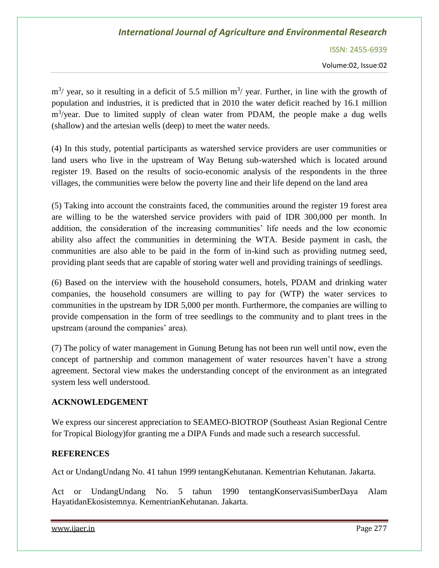ISSN: 2455-6939

Volume:02, Issue:02

 $\text{m}^3$ / year, so it resulting in a deficit of 5.5 million  $\text{m}^3$ / year. Further, in line with the growth of population and industries, it is predicted that in 2010 the water deficit reached by 16.1 million m<sup>3</sup>/year. Due to limited supply of clean water from PDAM, the people make a dug wells (shallow) and the artesian wells (deep) to meet the water needs.

(4) In this study, potential participants as watershed service providers are user communities or land users who live in the upstream of Way Betung sub-watershed which is located around register 19. Based on the results of socio-economic analysis of the respondents in the three villages, the communities were below the poverty line and their life depend on the land area

(5) Taking into account the constraints faced, the communities around the register 19 forest area are willing to be the watershed service providers with paid of IDR 300,000 per month. In addition, the consideration of the increasing communities' life needs and the low economic ability also affect the communities in determining the WTA. Beside payment in cash, the communities are also able to be paid in the form of in-kind such as providing nutmeg seed, providing plant seeds that are capable of storing water well and providing trainings of seedlings.

(6) Based on the interview with the household consumers, hotels, PDAM and drinking water companies, the household consumers are willing to pay for (WTP) the water services to communities in the upstream by IDR 5,000 per month. Furthermore, the companies are willing to provide compensation in the form of tree seedlings to the community and to plant trees in the upstream (around the companies' area).

(7) The policy of water management in Gunung Betung has not been run well until now, even the concept of partnership and common management of water resources haven't have a strong agreement. Sectoral view makes the understanding concept of the environment as an integrated system less well understood.

### **ACKNOWLEDGEMENT**

We express our sincerest appreciation to SEAMEO-BIOTROP (Southeast Asian Regional Centre for Tropical Biology)for granting me a DIPA Funds and made such a research successful.

#### **REFERENCES**

Act or UndangUndang No. 41 tahun 1999 tentangKehutanan. Kementrian Kehutanan. Jakarta.

Act or UndangUndang No. 5 tahun 1990 tentangKonservasiSumberDaya Alam HayatidanEkosistemnya. KementrianKehutanan. Jakarta.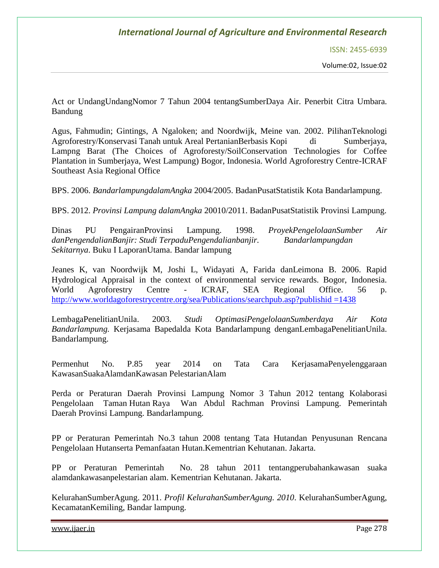ISSN: 2455-6939

Volume:02, Issue:02

Act or UndangUndangNomor 7 Tahun 2004 tentangSumberDaya Air. Penerbit Citra Umbara. Bandung

Agus, Fahmudin; Gintings, A Ngaloken; and Noordwijk, Meine van. 2002. PilihanTeknologi Agroforestry/Konservasi Tanah untuk Areal PertanianBerbasis Kopi di Sumberjaya, Lampng Barat (The Choices of Agroforesty/SoilConservation Technologies for Coffee Plantation in Sumberjaya, West Lampung) Bogor, Indonesia. World Agroforestry Centre-ICRAF Southeast Asia Regional Office

BPS. 2006. *BandarlampungdalamAngka* 2004/2005. BadanPusatStatistik Kota Bandarlampung.

BPS. 2012. *Provinsi Lampung dalamAngka* 20010/2011. BadanPusatStatistik Provinsi Lampung.

Dinas PU PengairanProvinsi Lampung. 1998. *ProyekPengelolaanSumber Air danPengendalianBanjir: Studi TerpaduPengendalianbanjir. Bandarlampungdan Sekitarnya*. Buku I LaporanUtama. Bandar lampung

Jeanes K, van Noordwijk M, Joshi L, Widayati A, Farida danLeimona B. 2006. Rapid Hydrological Appraisal in the context of environmental service rewards. Bogor, Indonesia. World Agroforestry Centre - ICRAF, SEA Regional Office. 56 p. [http://www.worldagoforestrycentre.org/sea/Publications/searchpub.asp?publishid =1438](http://www.worldagoforestrycentre.org/sea/Publications/searchpub.asp?publishid%20=1438)

LembagaPenelitianUnila. 2003. *Studi OptimasiPengelolaanSumberdaya Air Kota Bandarlampung.* Kerjasama Bapedalda Kota Bandarlampung denganLembagaPenelitianUnila. Bandarlampung.

Permenhut No. P.85 year 2014 on Tata Cara KerjasamaPenyelenggaraan KawasanSuakaAlamdanKawasan PelestarianAlam

Perda or Peraturan Daerah Provinsi Lampung Nomor 3 Tahun 2012 tentang Kolaborasi Pengelolaan Taman Hutan Raya Wan Abdul Rachman Provinsi Lampung. Pemerintah Daerah Provinsi Lampung. Bandarlampung.

PP or Peraturan Pemerintah No.3 tahun 2008 tentang Tata Hutandan Penyusunan Rencana Pengelolaan Hutanserta Pemanfaatan Hutan.Kementrian Kehutanan. Jakarta.

PP or Peraturan Pemerintah No. 28 tahun 2011 tentangperubahankawasan suaka alamdankawasanpelestarian alam. Kementrian Kehutanan. Jakarta.

KelurahanSumberAgung. 2011. *Profil KelurahanSumberAgung. 2010*. KelurahanSumberAgung, KecamatanKemiling, Bandar lampung.